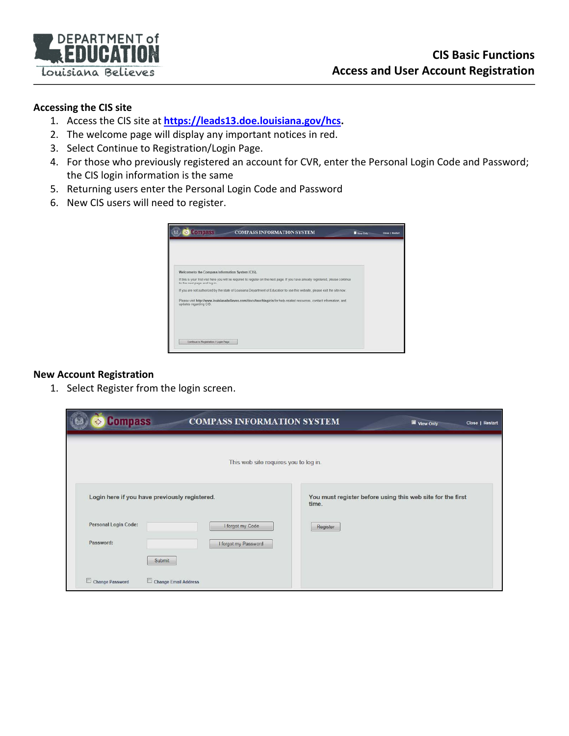

## **Accessing the CIS site**

- 1. Access the CIS site at **[https://leads13.doe.louisiana.gov/hcs.](https://leads13.doe.louisiana.gov/hcs)**
- 2. The welcome page will display any important notices in red.
- 3. Select Continue to Registration/Login Page.
- 4. For those who previously registered an account for CVR, enter the Personal Login Code and Password; the CIS login information is the same
- 5. Returning users enter the Personal Login Code and Password
- 6. New CIS users will need to register.

| Welcome to the Compass Information System (CIS). |                                                                                                                                     |  |
|--------------------------------------------------|-------------------------------------------------------------------------------------------------------------------------------------|--|
| to the next page and log in                      | If this is your first visit here you will be required to register on the next page. If you have already registered, please continue |  |
|                                                  | If you are not authorized by the state of Louisiana Department of Education to use this website, please exit the site now.          |  |
| updates regarding CIS.                           | Plassa yet http://www.losisianabaliayas.com/docs/taaching/cis for halp-raisted resources.contact information, and                   |  |
|                                                  |                                                                                                                                     |  |
|                                                  |                                                                                                                                     |  |
|                                                  |                                                                                                                                     |  |

## **New Account Registration**

1. Select Register from the login screen.

| <b>Compass</b><br>崇                           | <b>COMPASS INFORMATION SYSTEM</b>     |                                                                     | View Only<br>Close   Restart |
|-----------------------------------------------|---------------------------------------|---------------------------------------------------------------------|------------------------------|
|                                               | This web site requires you to log in. |                                                                     |                              |
| Login here if you have previously registered. |                                       | You must register before using this web site for the first<br>time. |                              |
| <b>Personal Login Code:</b>                   | I forgot my Code                      | Register                                                            |                              |
| Password:                                     | I forgot my Password                  |                                                                     |                              |
| Submit                                        |                                       |                                                                     |                              |
| Change Password<br>Change Email Address       |                                       |                                                                     |                              |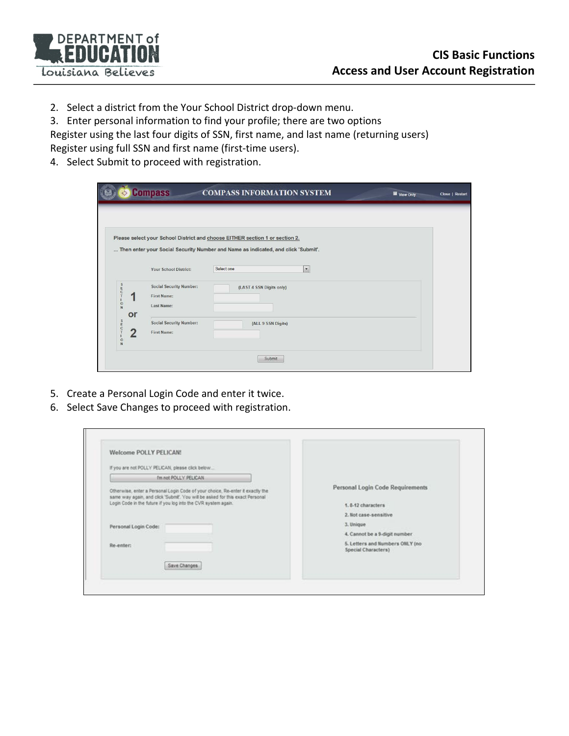

2. Select a district from the Your School District drop-down menu.

3. Enter personal information to find your profile; there are two options

Register using the last four digits of SSN, first name, and last name (returning users) Register using full SSN and first name (first-time users).

4. Select Submit to proceed with registration.

|                        |                                                      | Please select your School District and choose EITHER section 1 or section 2.      |  |
|------------------------|------------------------------------------------------|-----------------------------------------------------------------------------------|--|
|                        |                                                      | Then enter your Social Security Number and Name as indicated, and click 'Submit'. |  |
|                        | <b>Your School District:</b>                         | Select one<br>$\star$                                                             |  |
| <b>C</b><br>C          | <b>Social Security Number:</b><br><b>First Name:</b> | (LAST 4 SSN Digits only)                                                          |  |
| $\frac{0}{N}$<br>or    | Last Name:                                           |                                                                                   |  |
| S<br>E<br>2<br>$\circ$ | <b>Social Security Number:</b><br><b>First Name:</b> | (ALL 9 SSN Digits)                                                                |  |

- 5. Create a Personal Login Code and enter it twice.
- 6. Select Save Changes to proceed with registration.

| <b>Welcome POLLY PELICAN!</b>                                                                                                                                   |                                                        |
|-----------------------------------------------------------------------------------------------------------------------------------------------------------------|--------------------------------------------------------|
| If you are not POLLY PELICAN, please click below                                                                                                                |                                                        |
| I'm not POLLY PELICAN                                                                                                                                           |                                                        |
| Otherwise, enter a Personal Login Code of your choice. Re-enter it exactly the<br>same way again, and click 'Submit'. You will be asked for this exact Personal | Personal Login Code Requirements                       |
| Login Code in the future if you log into the CVR system again.                                                                                                  | 1.8-12 characters                                      |
|                                                                                                                                                                 | 2. Not case-sensitive                                  |
| Personal Login Code:                                                                                                                                            | 3. Unique                                              |
|                                                                                                                                                                 | 4. Cannot be a 9-digit number                          |
| Re-enter:                                                                                                                                                       | 5. Letters and Numbers ONLY (no<br>Special Characters) |
| Save Changes                                                                                                                                                    |                                                        |